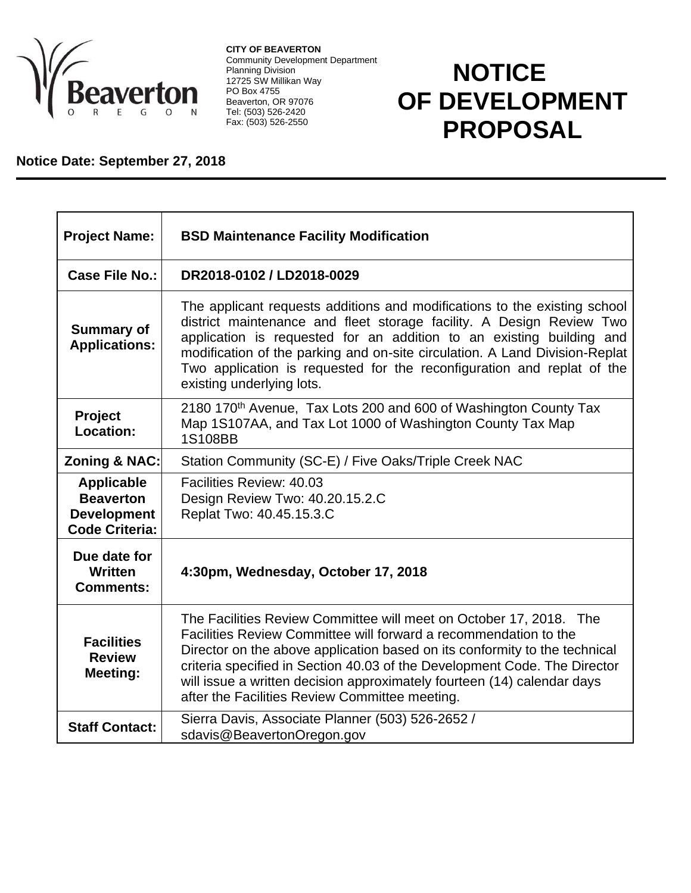

**CITY OF BEAVERTON** Community Development Department Planning Division 12725 SW Millikan Way PO Box 4755 Beaverton, OR 97076 Tel: (503) 526-2420 Fax: (503) 526-2550

## **NOTICE OF DEVELOPMENT PROPOSAL**

## **Notice Date: September 27, 2018**

| <b>Project Name:</b>                                                                 | <b>BSD Maintenance Facility Modification</b>                                                                                                                                                                                                                                                                                                                                                                                   |
|--------------------------------------------------------------------------------------|--------------------------------------------------------------------------------------------------------------------------------------------------------------------------------------------------------------------------------------------------------------------------------------------------------------------------------------------------------------------------------------------------------------------------------|
| Case File No.:                                                                       | DR2018-0102 / LD2018-0029                                                                                                                                                                                                                                                                                                                                                                                                      |
| <b>Summary of</b><br><b>Applications:</b>                                            | The applicant requests additions and modifications to the existing school<br>district maintenance and fleet storage facility. A Design Review Two<br>application is requested for an addition to an existing building and<br>modification of the parking and on-site circulation. A Land Division-Replat<br>Two application is requested for the reconfiguration and replat of the<br>existing underlying lots.                |
| <b>Project</b><br>Location:                                                          | 2180 170 <sup>th</sup> Avenue, Tax Lots 200 and 600 of Washington County Tax<br>Map 1S107AA, and Tax Lot 1000 of Washington County Tax Map<br>1S108BB                                                                                                                                                                                                                                                                          |
| Zoning & NAC:                                                                        | Station Community (SC-E) / Five Oaks/Triple Creek NAC                                                                                                                                                                                                                                                                                                                                                                          |
| <b>Applicable</b><br><b>Beaverton</b><br><b>Development</b><br><b>Code Criteria:</b> | Facilities Review: 40.03<br>Design Review Two: 40.20.15.2.C<br>Replat Two: 40.45.15.3.C                                                                                                                                                                                                                                                                                                                                        |
| Due date for<br>Written<br><b>Comments:</b>                                          | 4:30pm, Wednesday, October 17, 2018                                                                                                                                                                                                                                                                                                                                                                                            |
| <b>Facilities</b><br><b>Review</b><br><b>Meeting:</b>                                | The Facilities Review Committee will meet on October 17, 2018. The<br>Facilities Review Committee will forward a recommendation to the<br>Director on the above application based on its conformity to the technical<br>criteria specified in Section 40.03 of the Development Code. The Director<br>will issue a written decision approximately fourteen (14) calendar days<br>after the Facilities Review Committee meeting. |
| <b>Staff Contact:</b>                                                                | Sierra Davis, Associate Planner (503) 526-2652 /<br>sdavis@BeavertonOregon.gov                                                                                                                                                                                                                                                                                                                                                 |